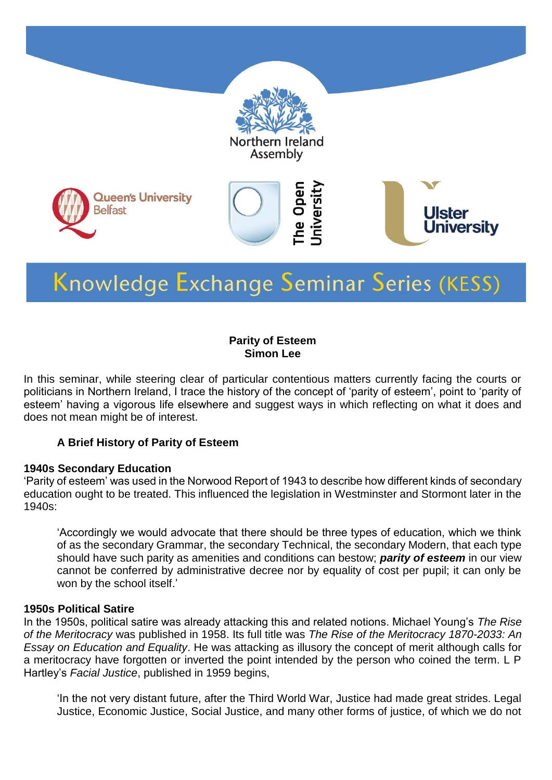

# Knowledge Exchange Seminar Series (KESS)

#### **Parity of Esteem Simon Lee**

In this seminar, while steering clear of particular contentious matters currently facing the courts or politicians in Northern Ireland, I trace the history of the concept of 'parity of esteem', point to 'parity of esteem' having a vigorous life elsewhere and suggest ways in which reflecting on what it does and does not mean might be of interest.

#### **A Brief History of Parity of Esteem**

#### **1940s Secondary Education**

'Parity of esteem' was used in the Norwood Report of 1943 to describe how different kinds of secondary education ought to be treated. This influenced the legislation in Westminster and Stormont later in the 1940s:

'Accordingly we would advocate that there should be three types of education, which we think of as the secondary Grammar, the secondary Technical, the secondary Modern, that each type should have such parity as amenities and conditions can bestow; *parity of esteem* in our view cannot be conferred by administrative decree nor by equality of cost per pupil; it can only be won by the school itself.'

#### **1950s Political Satire**

In the 1950s, political satire was already attacking this and related notions. Michael Young's *The Rise of the Meritocracy* was published in 1958. Its full title was *The Rise of the Meritocracy 1870-2033: An Essay on Education and Equality*. He was attacking as illusory the concept of merit although calls for a meritocracy have forgotten or inverted the point intended by the person who coined the term. L P Hartley's *Facial Justice*, published in 1959 begins,

'In the not very distant future, after the Third World War, Justice had made great strides. Legal Justice, Economic Justice, Social Justice, and many other forms of justice, of which we do not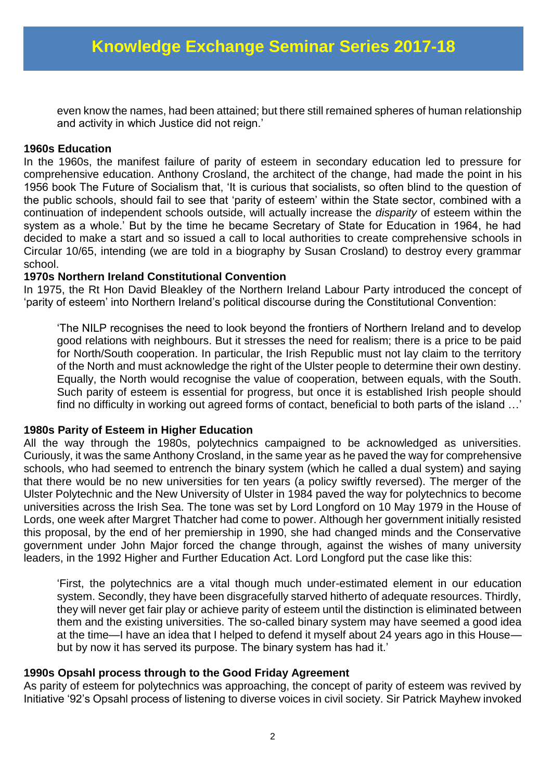even know the names, had been attained; but there still remained spheres of human relationship and activity in which Justice did not reign.'

#### **1960s Education**

In the 1960s, the manifest failure of parity of esteem in secondary education led to pressure for comprehensive education. Anthony Crosland, the architect of the change, had made the point in his 1956 book The Future of Socialism that, 'It is curious that socialists, so often blind to the question of the public schools, should fail to see that 'parity of esteem' within the State sector, combined with a continuation of independent schools outside, will actually increase the *disparity* of esteem within the system as a whole.' But by the time he became Secretary of State for Education in 1964, he had decided to make a start and so issued a call to local authorities to create comprehensive schools in Circular 10/65, intending (we are told in a biography by Susan Crosland) to destroy every grammar school.

#### **1970s Northern Ireland Constitutional Convention**

In 1975, the Rt Hon David Bleakley of the Northern Ireland Labour Party introduced the concept of 'parity of esteem' into Northern Ireland's political discourse during the Constitutional Convention:

'The NILP recognises the need to look beyond the frontiers of Northern Ireland and to develop good relations with neighbours. But it stresses the need for realism; there is a price to be paid for North/South cooperation. In particular, the Irish Republic must not lay claim to the territory of the North and must acknowledge the right of the Ulster people to determine their own destiny. Equally, the North would recognise the value of cooperation, between equals, with the South. Such parity of esteem is essential for progress, but once it is established Irish people should find no difficulty in working out agreed forms of contact, beneficial to both parts of the island …'

#### **1980s Parity of Esteem in Higher Education**

All the way through the 1980s, polytechnics campaigned to be acknowledged as universities. Curiously, it was the same Anthony Crosland, in the same year as he paved the way for comprehensive schools, who had seemed to entrench the binary system (which he called a dual system) and saying that there would be no new universities for ten years (a policy swiftly reversed). The merger of the Ulster Polytechnic and the New University of Ulster in 1984 paved the way for polytechnics to become universities across the Irish Sea. The tone was set by Lord Longford on 10 May 1979 in the House of Lords, one week after Margret Thatcher had come to power. Although her government initially resisted this proposal, by the end of her premiership in 1990, she had changed minds and the Conservative government under John Major forced the change through, against the wishes of many university leaders, in the 1992 Higher and Further Education Act. Lord Longford put the case like this:

'First, the polytechnics are a vital though much under-estimated element in our education system. Secondly, they have been disgracefully starved hitherto of adequate resources. Thirdly, they will never get fair play or achieve parity of esteem until the distinction is eliminated between them and the existing universities. The so-called binary system may have seemed a good idea at the time—I have an idea that I helped to defend it myself about 24 years ago in this House but by now it has served its purpose. The binary system has had it.'

#### **1990s Opsahl process through to the Good Friday Agreement**

As parity of esteem for polytechnics was approaching, the concept of parity of esteem was revived by Initiative '92's Opsahl process of listening to diverse voices in civil society. Sir Patrick Mayhew invoked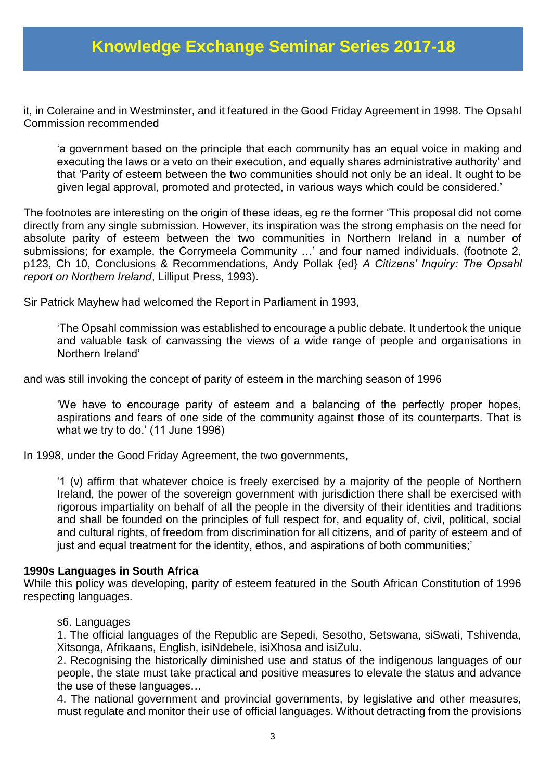### **Knowledge Exchange Seminar Series 2017-18**

it, in Coleraine and in Westminster, and it featured in the Good Friday Agreement in 1998. The Opsahl Commission recommended

'a government based on the principle that each community has an equal voice in making and executing the laws or a veto on their execution, and equally shares administrative authority' and that 'Parity of esteem between the two communities should not only be an ideal. It ought to be given legal approval, promoted and protected, in various ways which could be considered.'

The footnotes are interesting on the origin of these ideas, eg re the former 'This proposal did not come directly from any single submission. However, its inspiration was the strong emphasis on the need for absolute parity of esteem between the two communities in Northern Ireland in a number of submissions; for example, the Corrymeela Community …' and four named individuals. (footnote 2, p123, Ch 10, Conclusions & Recommendations, Andy Pollak {ed} *A Citizens' Inquiry: The Opsahl report on Northern Ireland*, Lilliput Press, 1993).

Sir Patrick Mayhew had welcomed the Report in Parliament in 1993,

'The Opsahl commission was established to encourage a public debate. It undertook the unique and valuable task of canvassing the views of a wide range of people and organisations in Northern Ireland'

and was still invoking the concept of parity of esteem in the marching season of 1996

'We have to encourage parity of esteem and a balancing of the perfectly proper hopes, aspirations and fears of one side of the community against those of its counterparts. That is what we try to do.' (11 June 1996)

In 1998, under the Good Friday Agreement, the two governments,

'1 (v) affirm that whatever choice is freely exercised by a majority of the people of Northern Ireland, the power of the sovereign government with jurisdiction there shall be exercised with rigorous impartiality on behalf of all the people in the diversity of their identities and traditions and shall be founded on the principles of full respect for, and equality of, civil, political, social and cultural rights, of freedom from discrimination for all citizens, and of parity of esteem and of just and equal treatment for the identity, ethos, and aspirations of both communities;'

#### **1990s Languages in South Africa**

While this policy was developing, parity of esteem featured in the South African Constitution of 1996 respecting languages.

#### s6. Languages

1. The official languages of the Republic are Sepedi, Sesotho, Setswana, siSwati, Tshivenda, Xitsonga, Afrikaans, English, isiNdebele, isiXhosa and isiZulu.

2. Recognising the historically diminished use and status of the indigenous languages of our people, the state must take practical and positive measures to elevate the status and advance the use of these languages…

4. The national government and provincial governments, by legislative and other measures, must regulate and monitor their use of official languages. Without detracting from the provisions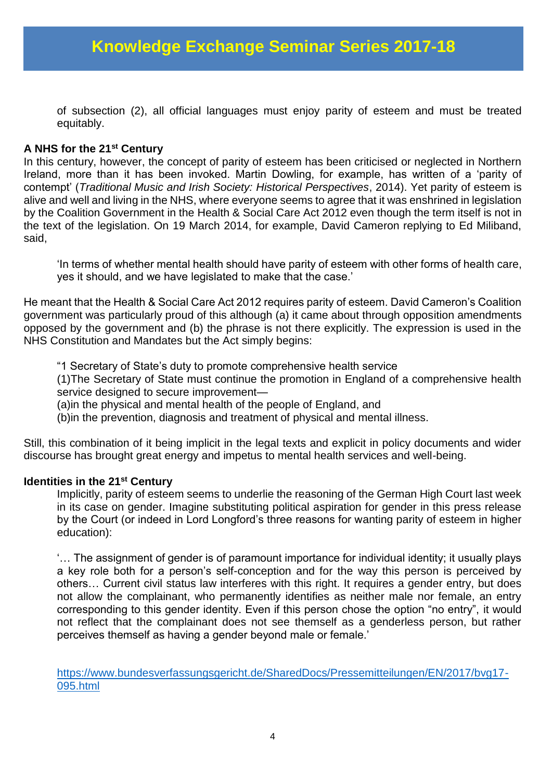of subsection (2), all official languages must enjoy parity of esteem and must be treated equitably.

#### **A NHS for the 21st Century**

In this century, however, the concept of parity of esteem has been criticised or neglected in Northern Ireland, more than it has been invoked. Martin Dowling, for example, has written of a 'parity of contempt' (*Traditional Music and Irish Society: Historical Perspectives*, 2014). Yet parity of esteem is alive and well and living in the NHS, where everyone seems to agree that it was enshrined in legislation by the Coalition Government in the Health & Social Care Act 2012 even though the term itself is not in the text of the legislation. On 19 March 2014, for example, David Cameron replying to Ed Miliband, said,

'In terms of whether mental health should have parity of esteem with other forms of health care, yes it should, and we have legislated to make that the case.'

He meant that the Health & Social Care Act 2012 requires parity of esteem. David Cameron's Coalition government was particularly proud of this although (a) it came about through opposition amendments opposed by the government and (b) the phrase is not there explicitly. The expression is used in the NHS Constitution and Mandates but the Act simply begins:

"1 Secretary of State's duty to promote comprehensive health service

(1)The Secretary of State must continue the promotion in England of a comprehensive health service designed to secure improvement—

(a)in the physical and mental health of the people of England, and

(b)in the prevention, diagnosis and treatment of physical and mental illness.

Still, this combination of it being implicit in the legal texts and explicit in policy documents and wider discourse has brought great energy and impetus to mental health services and well-being.

#### **Identities in the 21st Century**

Implicitly, parity of esteem seems to underlie the reasoning of the German High Court last week in its case on gender. Imagine substituting political aspiration for gender in this press release by the Court (or indeed in Lord Longford's three reasons for wanting parity of esteem in higher education):

'… The assignment of gender is of paramount importance for individual identity; it usually plays a key role both for a person's self-conception and for the way this person is perceived by others… Current civil status law interferes with this right. It requires a gender entry, but does not allow the complainant, who permanently identifies as neither male nor female, an entry corresponding to this gender identity. Even if this person chose the option "no entry", it would not reflect that the complainant does not see themself as a genderless person, but rather perceives themself as having a gender beyond male or female.'

[https://www.bundesverfassungsgericht.de/SharedDocs/Pressemitteilungen/EN/2017/bvg17-](https://www.bundesverfassungsgericht.de/SharedDocs/Pressemitteilungen/EN/2017/bvg17-095.html) [095.html](https://www.bundesverfassungsgericht.de/SharedDocs/Pressemitteilungen/EN/2017/bvg17-095.html)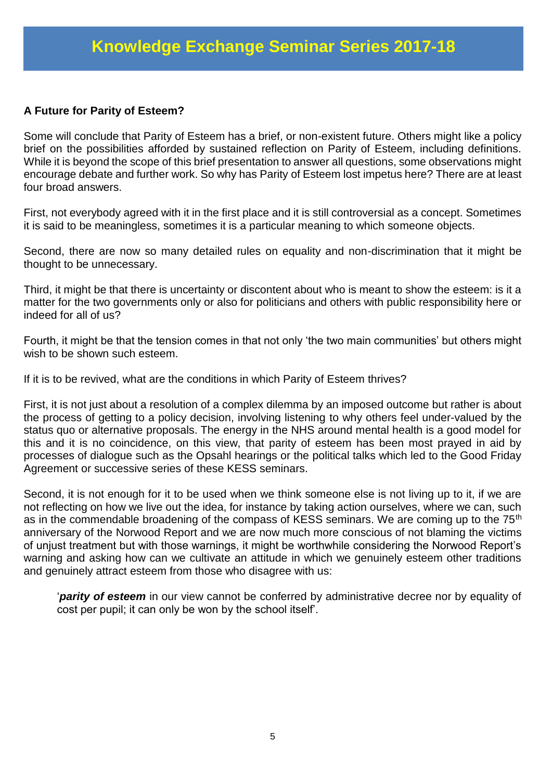#### **A Future for Parity of Esteem?**

Some will conclude that Parity of Esteem has a brief, or non-existent future. Others might like a policy brief on the possibilities afforded by sustained reflection on Parity of Esteem, including definitions. While it is beyond the scope of this brief presentation to answer all questions, some observations might encourage debate and further work. So why has Parity of Esteem lost impetus here? There are at least four broad answers.

First, not everybody agreed with it in the first place and it is still controversial as a concept. Sometimes it is said to be meaningless, sometimes it is a particular meaning to which someone objects.

Second, there are now so many detailed rules on equality and non-discrimination that it might be thought to be unnecessary.

Third, it might be that there is uncertainty or discontent about who is meant to show the esteem: is it a matter for the two governments only or also for politicians and others with public responsibility here or indeed for all of us?

Fourth, it might be that the tension comes in that not only 'the two main communities' but others might wish to be shown such esteem.

If it is to be revived, what are the conditions in which Parity of Esteem thrives?

First, it is not just about a resolution of a complex dilemma by an imposed outcome but rather is about the process of getting to a policy decision, involving listening to why others feel under-valued by the status quo or alternative proposals. The energy in the NHS around mental health is a good model for this and it is no coincidence, on this view, that parity of esteem has been most prayed in aid by processes of dialogue such as the Opsahl hearings or the political talks which led to the Good Friday Agreement or successive series of these KESS seminars.

Second, it is not enough for it to be used when we think someone else is not living up to it, if we are not reflecting on how we live out the idea, for instance by taking action ourselves, where we can, such as in the commendable broadening of the compass of KESS seminars. We are coming up to the 75<sup>th</sup> anniversary of the Norwood Report and we are now much more conscious of not blaming the victims of unjust treatment but with those warnings, it might be worthwhile considering the Norwood Report's warning and asking how can we cultivate an attitude in which we genuinely esteem other traditions and genuinely attract esteem from those who disagree with us:

'*parity of esteem* in our view cannot be conferred by administrative decree nor by equality of cost per pupil; it can only be won by the school itself'.